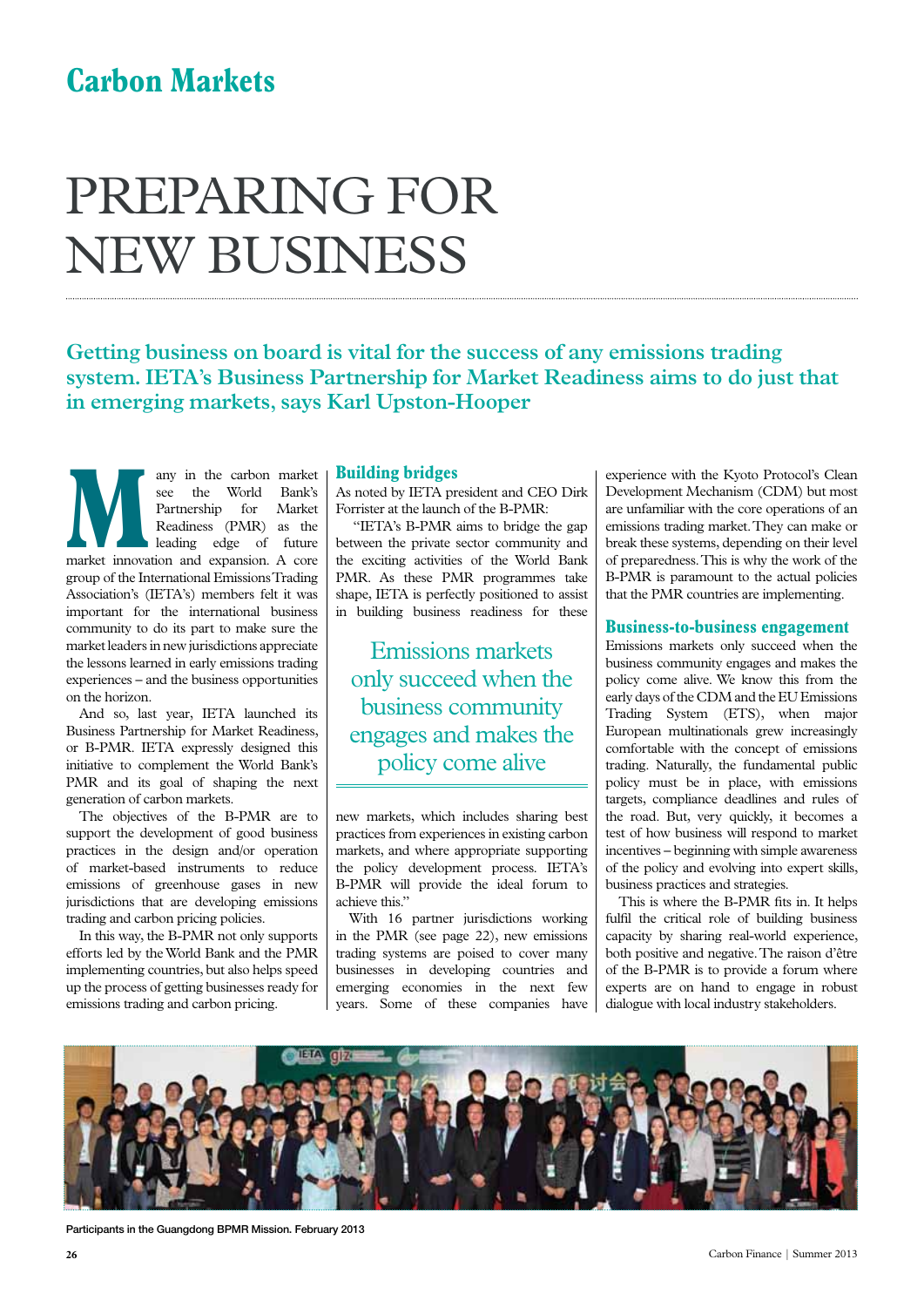# **Carbon Markets**

# Preparing for new business

**Getting business on board is vital for the success of any emissions trading system. IETA's Business Partnership for Market Readiness aims to do just that in emerging markets, says Karl Upston-Hooper**

**Many** in the carbon market<br>
see the World Bank's<br>
Partnership for Market<br>
Readings edge of future<br>
market innovation and expansion. A core see the World Bank's Partnership for Market Readiness (PMR) as the leading edge of future group of the International Emissions Trading Association's (IETA's) members felt it was important for the international business community to do its part to make sure the market leaders in new jurisdictions appreciate the lessons learned in early emissions trading experiences – and the business opportunities on the horizon.

And so, last year, IETA launched its Business Partnership for Market Readiness, or B-PMR. IETA expressly designed this initiative to complement the World Bank's PMR and its goal of shaping the next generation of carbon markets.

The objectives of the B-PMR are to support the development of good business practices in the design and/or operation of market-based instruments to reduce emissions of greenhouse gases in new jurisdictions that are developing emissions trading and carbon pricing policies.

In this way, the B-PMR not only supports efforts led by the World Bank and the PMR implementing countries, but also helps speed up the process of getting businesses ready for emissions trading and carbon pricing.

## **Building bridges**

As noted by IETA president and CEO Dirk Forrister at the launch of the B-PMR:

 "IETA's B-PMR aims to bridge the gap between the private sector community and the exciting activities of the World Bank PMR. As these PMR programmes take shape, IETA is perfectly positioned to assist in building business readiness for these

Emissions markets only succeed when the business community engages and makes the policy come alive

new markets, which includes sharing best practices from experiences in existing carbon markets, and where appropriate supporting the policy development process. IETA's B-PMR will provide the ideal forum to achieve this."

With 16 partner jurisdictions working in the PMR (see page 22), new emissions trading systems are poised to cover many businesses in developing countries and emerging economies in the next few years. Some of these companies have experience with the Kyoto Protocol's Clean Development Mechanism (CDM) but most are unfamiliar with the core operations of an emissions trading market. They can make or break these systems, depending on their level of preparedness. This is why the work of the B-PMR is paramount to the actual policies that the PMR countries are implementing.

#### **Business-to-business engagement**

Emissions markets only succeed when the business community engages and makes the policy come alive. We know this from the early days of the CDM and the EU Emissions Trading System (ETS), when major European multinationals grew increasingly comfortable with the concept of emissions trading. Naturally, the fundamental public policy must be in place, with emissions targets, compliance deadlines and rules of the road. But, very quickly, it becomes a test of how business will respond to market incentives – beginning with simple awareness of the policy and evolving into expert skills, business practices and strategies.

This is where the B-PMR fits in. It helps fulfil the critical role of building business capacity by sharing real-world experience, both positive and negative. The raison d'être of the B-PMR is to provide a forum where experts are on hand to engage in robust dialogue with local industry stakeholders.



Participants in the Guangdong BPMR Mission. February 2013